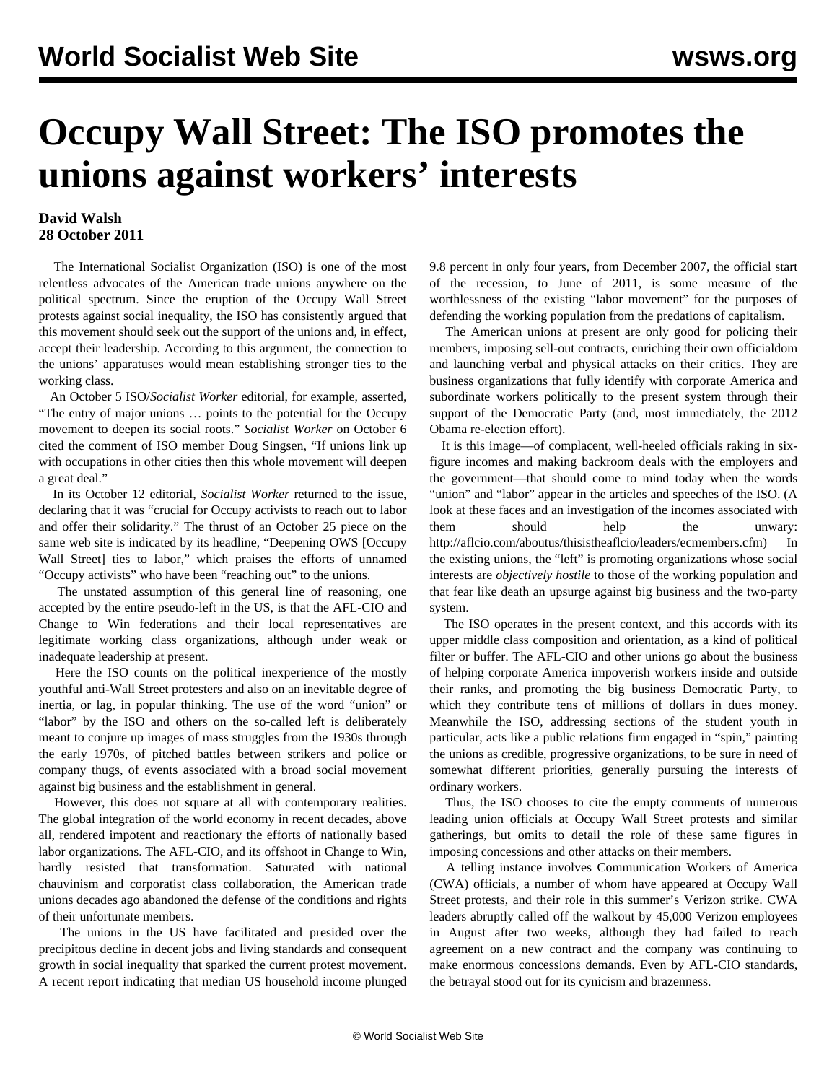## **Occupy Wall Street: The ISO promotes the unions against workers' interests**

## **David Walsh 28 October 2011**

 The International Socialist Organization (ISO) is one of the most relentless advocates of the American trade unions anywhere on the political spectrum. Since the eruption of the Occupy Wall Street protests against social inequality, the ISO has consistently argued that this movement should seek out the support of the unions and, in effect, accept their leadership. According to this argument, the connection to the unions' apparatuses would mean establishing stronger ties to the working class.

 An October 5 ISO/*Socialist Worker* editorial, for example, asserted, "The entry of major unions … points to the potential for the Occupy movement to deepen its social roots." *Socialist Worker* on October 6 cited the comment of ISO member Doug Singsen, "If unions link up with occupations in other cities then this whole movement will deepen a great deal."

 In its October 12 editorial, *Socialist Worker* returned to the issue, declaring that it was "crucial for Occupy activists to reach out to labor and offer their solidarity." The thrust of an October 25 piece on the same web site is indicated by its headline, "Deepening OWS [Occupy Wall Street] ties to labor," which praises the efforts of unnamed "Occupy activists" who have been "reaching out" to the unions.

 The unstated assumption of this general line of reasoning, one accepted by the entire pseudo-left in the US, is that the AFL-CIO and Change to Win federations and their local representatives are legitimate working class organizations, although under weak or inadequate leadership at present.

 Here the ISO counts on the political inexperience of the mostly youthful anti-Wall Street protesters and also on an inevitable degree of inertia, or lag, in popular thinking. The use of the word "union" or "labor" by the ISO and others on the so-called left is deliberately meant to conjure up images of mass struggles from the 1930s through the early 1970s, of pitched battles between strikers and police or company thugs, of events associated with a broad social movement against big business and the establishment in general.

 However, this does not square at all with contemporary realities. The global integration of the world economy in recent decades, above all, rendered impotent and reactionary the efforts of nationally based labor organizations. The AFL-CIO, and its offshoot in Change to Win, hardly resisted that transformation. Saturated with national chauvinism and corporatist class collaboration, the American trade unions decades ago abandoned the defense of the conditions and rights of their unfortunate members.

 The unions in the US have facilitated and presided over the precipitous decline in decent jobs and living standards and consequent growth in social inequality that sparked the current protest movement. A recent report indicating that median US household income plunged

9.8 percent in only four years, from December 2007, the official start of the recession, to June of 2011, is some measure of the worthlessness of the existing "labor movement" for the purposes of defending the working population from the predations of capitalism.

 The American unions at present are only good for policing their members, imposing sell-out contracts, enriching their own officialdom and launching verbal and physical attacks on their critics. They are business organizations that fully identify with corporate America and subordinate workers politically to the present system through their support of the Democratic Party (and, most immediately, the 2012 Obama re-election effort).

 It is this image—of complacent, well-heeled officials raking in sixfigure incomes and making backroom deals with the employers and the government—that should come to mind today when the words "union" and "labor" appear in the articles and speeches of the ISO. (A look at these faces and an investigation of the incomes associated with them should help the unwary: <http://aflcio.com/aboutus/thisistheaflcio/leaders/ecmembers.cfm>) In the existing unions, the "left" is promoting organizations whose social interests are *objectively hostile* to those of the working population and that fear like death an upsurge against big business and the two-party system.

 The ISO operates in the present context, and this accords with its upper middle class composition and orientation, as a kind of political filter or buffer. The AFL-CIO and other unions go about the business of helping corporate America impoverish workers inside and outside their ranks, and promoting the big business Democratic Party, to which they contribute tens of millions of dollars in dues money. Meanwhile the ISO, addressing sections of the student youth in particular, acts like a public relations firm engaged in "spin," painting the unions as credible, progressive organizations, to be sure in need of somewhat different priorities, generally pursuing the interests of ordinary workers.

 Thus, the ISO chooses to cite the empty comments of numerous leading union officials at Occupy Wall Street protests and similar gatherings, but omits to detail the role of these same figures in imposing concessions and other attacks on their members.

 A telling instance involves Communication Workers of America (CWA) officials, a number of whom have appeared at Occupy Wall Street protests, and their role in this summer's Verizon strike. CWA leaders abruptly called off the walkout by 45,000 Verizon employees in August after two weeks, although they had failed to reach agreement on a new contract and the company was continuing to make enormous concessions demands. Even by AFL-CIO standards, the betrayal stood out for its cynicism and brazenness.